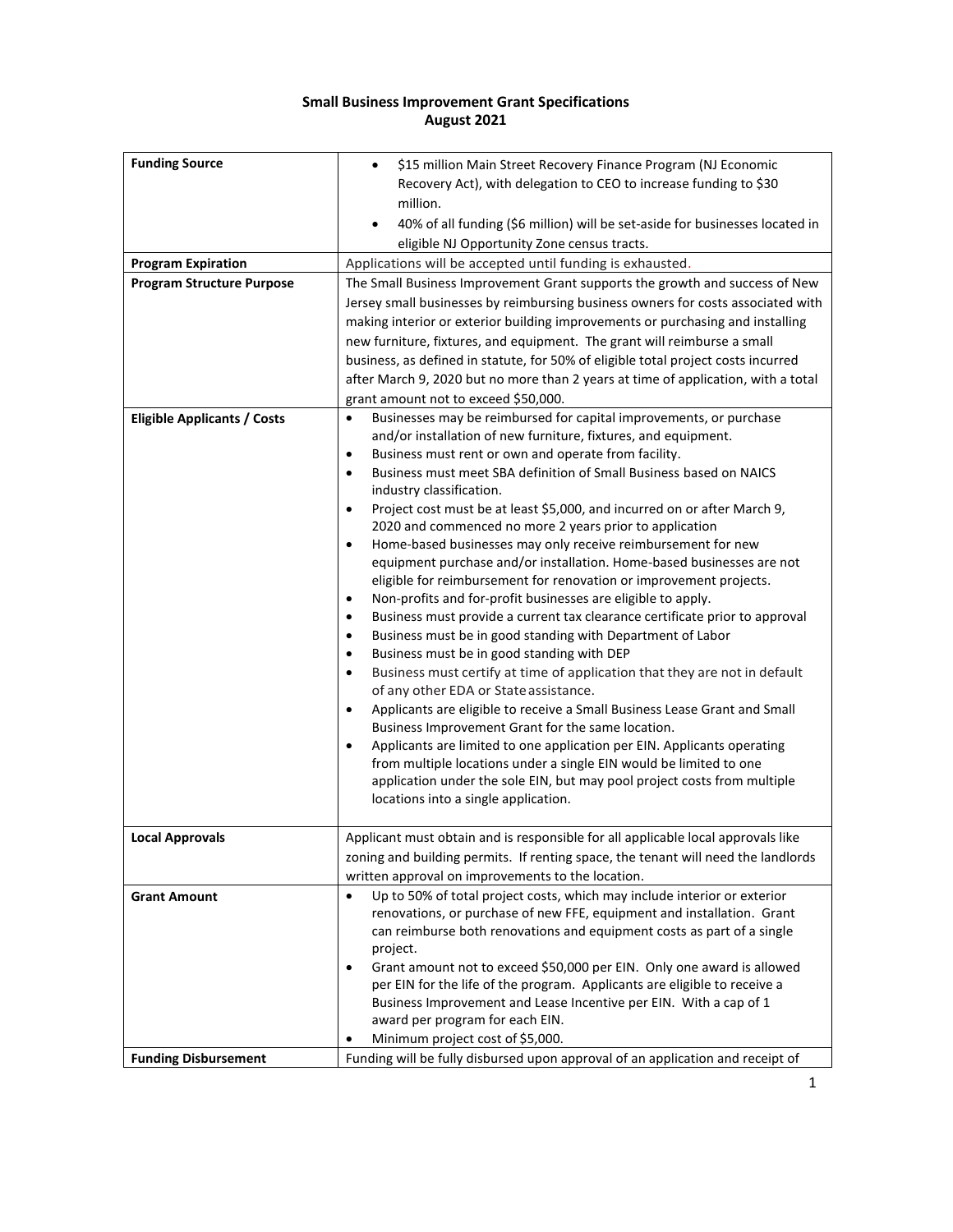## **Small Business Improvement Grant Specifications August 2021**

| <b>Funding Source</b>              | \$15 million Main Street Recovery Finance Program (NJ Economic<br>Recovery Act), with delegation to CEO to increase funding to \$30<br>million.                    |
|------------------------------------|--------------------------------------------------------------------------------------------------------------------------------------------------------------------|
|                                    | 40% of all funding (\$6 million) will be set-aside for businesses located in<br>eligible NJ Opportunity Zone census tracts.                                        |
| <b>Program Expiration</b>          | Applications will be accepted until funding is exhausted.                                                                                                          |
| <b>Program Structure Purpose</b>   | The Small Business Improvement Grant supports the growth and success of New                                                                                        |
|                                    | Jersey small businesses by reimbursing business owners for costs associated with<br>making interior or exterior building improvements or purchasing and installing |
|                                    | new furniture, fixtures, and equipment. The grant will reimburse a small                                                                                           |
|                                    | business, as defined in statute, for 50% of eligible total project costs incurred                                                                                  |
|                                    | after March 9, 2020 but no more than 2 years at time of application, with a total                                                                                  |
|                                    | grant amount not to exceed \$50,000.                                                                                                                               |
| <b>Eligible Applicants / Costs</b> | Businesses may be reimbursed for capital improvements, or purchase<br>$\bullet$<br>and/or installation of new furniture, fixtures, and equipment.                  |
|                                    | Business must rent or own and operate from facility.<br>$\bullet$                                                                                                  |
|                                    | Business must meet SBA definition of Small Business based on NAICS<br>$\bullet$<br>industry classification.                                                        |
|                                    | Project cost must be at least \$5,000, and incurred on or after March 9,<br>$\bullet$                                                                              |
|                                    | 2020 and commenced no more 2 years prior to application                                                                                                            |
|                                    | Home-based businesses may only receive reimbursement for new<br>$\bullet$                                                                                          |
|                                    | equipment purchase and/or installation. Home-based businesses are not                                                                                              |
|                                    | eligible for reimbursement for renovation or improvement projects.                                                                                                 |
|                                    | Non-profits and for-profit businesses are eligible to apply.<br>$\bullet$                                                                                          |
|                                    | Business must provide a current tax clearance certificate prior to approval<br>$\bullet$                                                                           |
|                                    | Business must be in good standing with Department of Labor<br>$\bullet$<br>$\bullet$                                                                               |
|                                    | Business must be in good standing with DEP<br>Business must certify at time of application that they are not in default<br>$\bullet$                               |
|                                    | of any other EDA or State assistance.                                                                                                                              |
|                                    | Applicants are eligible to receive a Small Business Lease Grant and Small<br>$\bullet$                                                                             |
|                                    | Business Improvement Grant for the same location.                                                                                                                  |
|                                    | Applicants are limited to one application per EIN. Applicants operating<br>$\bullet$                                                                               |
|                                    | from multiple locations under a single EIN would be limited to one                                                                                                 |
|                                    | application under the sole EIN, but may pool project costs from multiple                                                                                           |
|                                    | locations into a single application.                                                                                                                               |
| <b>Local Approvals</b>             | Applicant must obtain and is responsible for all applicable local approvals like                                                                                   |
|                                    | zoning and building permits. If renting space, the tenant will need the landlords                                                                                  |
|                                    | written approval on improvements to the location.                                                                                                                  |
| <b>Grant Amount</b>                | Up to 50% of total project costs, which may include interior or exterior                                                                                           |
|                                    | renovations, or purchase of new FFE, equipment and installation. Grant                                                                                             |
|                                    | can reimburse both renovations and equipment costs as part of a single                                                                                             |
|                                    | project.                                                                                                                                                           |
|                                    | Grant amount not to exceed \$50,000 per EIN. Only one award is allowed<br>٠                                                                                        |
|                                    | per EIN for the life of the program. Applicants are eligible to receive a                                                                                          |
|                                    | Business Improvement and Lease Incentive per EIN. With a cap of 1<br>award per program for each EIN.                                                               |
|                                    | Minimum project cost of \$5,000.<br>٠                                                                                                                              |
| <b>Funding Disbursement</b>        | Funding will be fully disbursed upon approval of an application and receipt of                                                                                     |
|                                    |                                                                                                                                                                    |